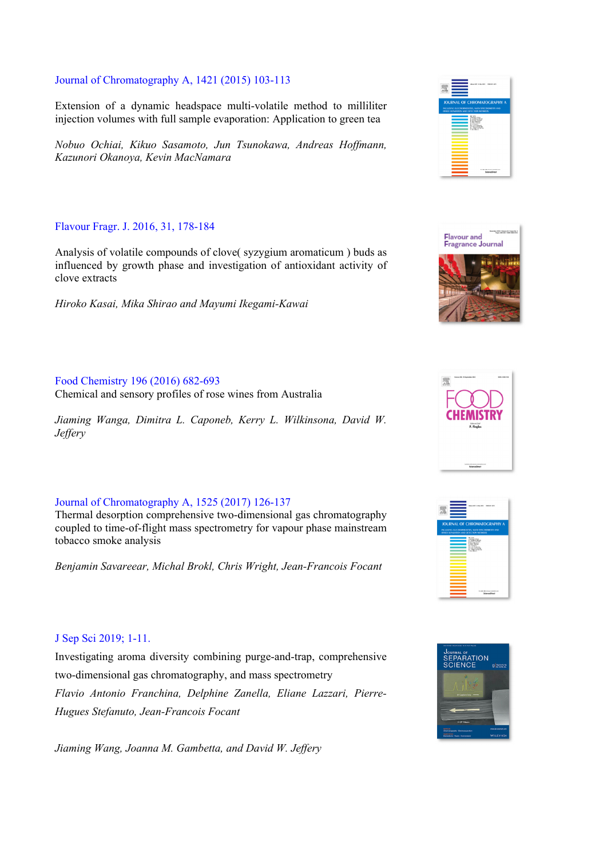### Journal of Chromatography A, 1421 (2015) 103-113

Extension of a dynamic headspace multi-volatile method to milliliter injection volumes with full sample evaporation: Application to green tea

*Nobuo Ochiai, Kikuo Sasamoto, Jun Tsunokawa, Andreas Hoffmann, Kazunori Okanoya, Kevin MacNamara* 

## Flavour Fragr. J. 2016, 31, 178-184

Analysis of volatile compounds of clove( syzygium aromaticum ) buds as influenced by growth phase and investigation of antioxidant activity of clove extracts

*Hiroko Kasai, Mika Shirao and Mayumi Ikegami-Kawai* 

## Food Chemistry 196 (2016) 682-693

Chemical and sensory profiles of rose wines from Australia

*Jiaming Wanga, Dimitra L. Caponeb, Kerry L. Wilkinsona, David W. Jeffery* 

# Journal of Chromatography A, 1525 (2017) 126-137

Thermal desorption comprehensive two-dimensional gas chromatography coupled to time-of-flight mass spectrometry for vapour phase mainstream tobacco smoke analysis

*Benjamin Savareear, Michal Brokl, Chris Wright, Jean-Francois Focant* 

## J Sep Sci 2019; 1-11.

Investigating aroma diversity combining purge-and-trap, comprehensive two-dimensional gas chromatography, and mass spectrometry *Flavio Antonio Franchina, Delphine Zanella, Eliane Lazzari, Pierre-Hugues Stefanuto, Jean-Francois Focant* 

*Jiaming Wang, Joanna M. Gambetta, and David W. Jeffery*